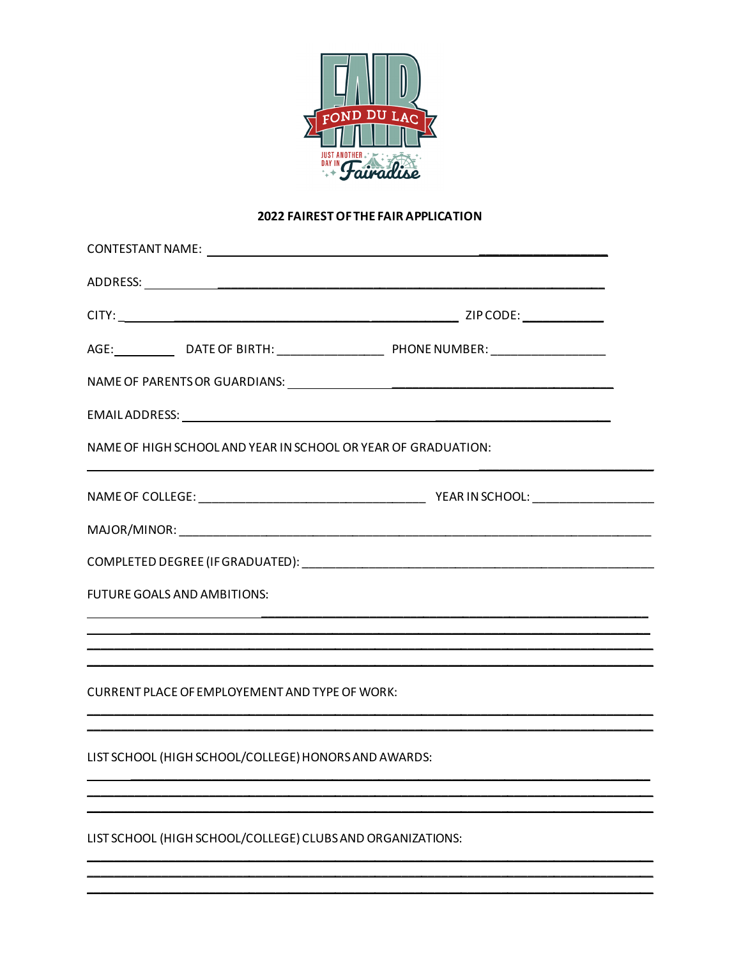

# 2022 FAIREST OF THE FAIR APPLICATION

|                                                            | NAME OF HIGH SCHOOL AND YEAR IN SCHOOL OR YEAR OF GRADUATION: |  |
|------------------------------------------------------------|---------------------------------------------------------------|--|
|                                                            |                                                               |  |
|                                                            |                                                               |  |
|                                                            |                                                               |  |
| FUTURE GOALS AND AMBITIONS:                                |                                                               |  |
|                                                            |                                                               |  |
|                                                            |                                                               |  |
| CURRENT PLACE OF EMPLOYEMENT AND TYPE OF WORK:             |                                                               |  |
|                                                            |                                                               |  |
| LIST SCHOOL (HIGH SCHOOL/COLLEGE) HONORS AND AWARDS:       |                                                               |  |
|                                                            |                                                               |  |
| LIST SCHOOL (HIGH SCHOOL/COLLEGE) CLUBS AND ORGANIZATIONS: |                                                               |  |